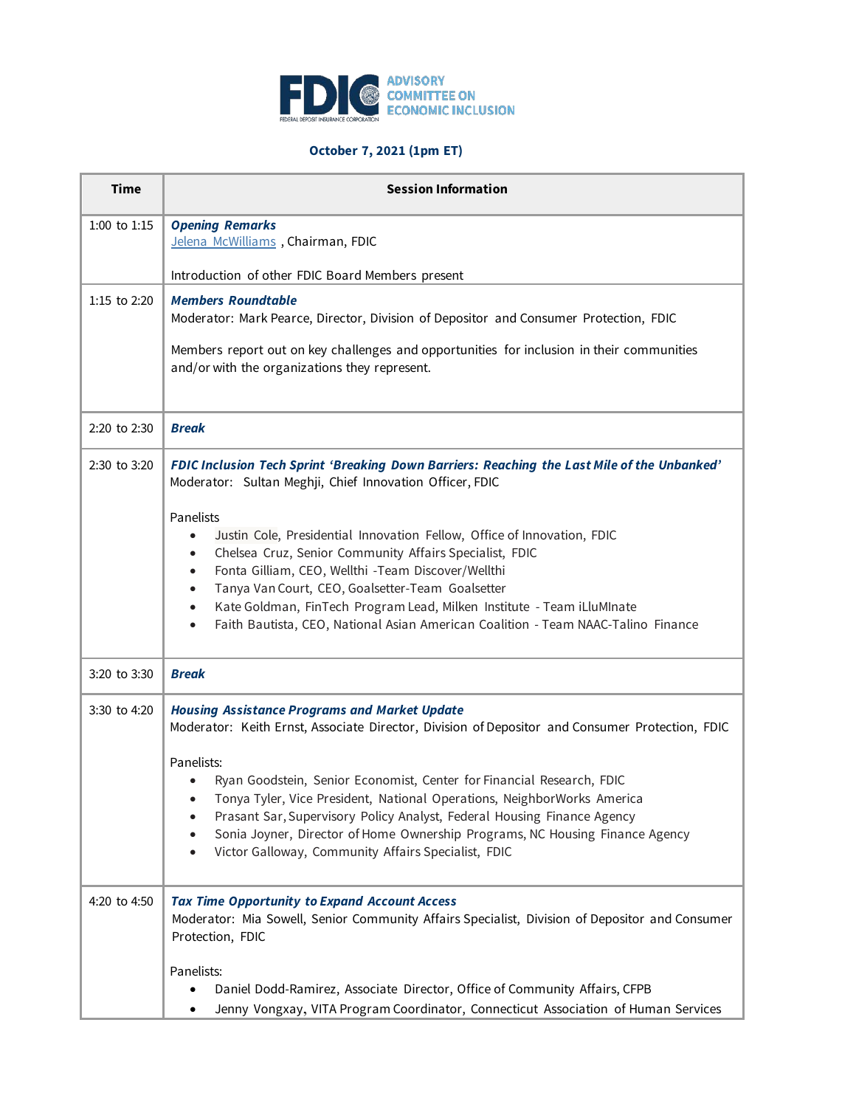

## **October 7, 2021 (1pm ET)**

| <b>Time</b>      | <b>Session Information</b>                                                                                                                                                                                                                                                                                                                                                                                               |
|------------------|--------------------------------------------------------------------------------------------------------------------------------------------------------------------------------------------------------------------------------------------------------------------------------------------------------------------------------------------------------------------------------------------------------------------------|
| $1:00$ to $1:15$ | <b>Opening Remarks</b><br>Jelena McWilliams, Chairman, FDIC                                                                                                                                                                                                                                                                                                                                                              |
|                  | Introduction of other FDIC Board Members present                                                                                                                                                                                                                                                                                                                                                                         |
| 1:15 to 2:20     | <b>Members Roundtable</b><br>Moderator: Mark Pearce, Director, Division of Depositor and Consumer Protection, FDIC                                                                                                                                                                                                                                                                                                       |
|                  | Members report out on key challenges and opportunities for inclusion in their communities<br>and/or with the organizations they represent.                                                                                                                                                                                                                                                                               |
| 2:20 to 2:30     | <b>Break</b>                                                                                                                                                                                                                                                                                                                                                                                                             |
| 2:30 to 3:20     | FDIC Inclusion Tech Sprint 'Breaking Down Barriers: Reaching the Last Mile of the Unbanked'<br>Moderator: Sultan Meghji, Chief Innovation Officer, FDIC                                                                                                                                                                                                                                                                  |
|                  | Panelists<br>Justin Cole, Presidential Innovation Fellow, Office of Innovation, FDIC<br>Chelsea Cruz, Senior Community Affairs Specialist, FDIC<br>Fonta Gilliam, CEO, Wellthi -Team Discover/Wellthi<br>Tanya Van Court, CEO, Goalsetter-Team Goalsetter<br>Kate Goldman, FinTech Program Lead, Milken Institute - Team iLluMInate<br>Faith Bautista, CEO, National Asian American Coalition - Team NAAC-Talino Finance |
| 3:20 to 3:30     | <b>Break</b>                                                                                                                                                                                                                                                                                                                                                                                                             |
| 3:30 to 4:20     | <b>Housing Assistance Programs and Market Update</b><br>Moderator: Keith Ernst, Associate Director, Division of Depositor and Consumer Protection, FDIC<br>Panelists:<br>Ryan Goodstein, Senior Economist, Center for Financial Research, FDIC<br>Tonya Tyler, Vice President, National Operations, NeighborWorks America<br>Prasant Sar, Supervisory Policy Analyst, Federal Housing Finance Agency                     |
|                  | Sonia Joyner, Director of Home Ownership Programs, NC Housing Finance Agency<br>Victor Galloway, Community Affairs Specialist, FDIC                                                                                                                                                                                                                                                                                      |
| 4:20 to 4:50     | <b>Tax Time Opportunity to Expand Account Access</b><br>Moderator: Mia Sowell, Senior Community Affairs Specialist, Division of Depositor and Consumer<br>Protection, FDIC                                                                                                                                                                                                                                               |
|                  | Panelists:<br>Daniel Dodd-Ramirez, Associate Director, Office of Community Affairs, CFPB                                                                                                                                                                                                                                                                                                                                 |
|                  | Jenny Vongxay, VITA Program Coordinator, Connecticut Association of Human Services                                                                                                                                                                                                                                                                                                                                       |